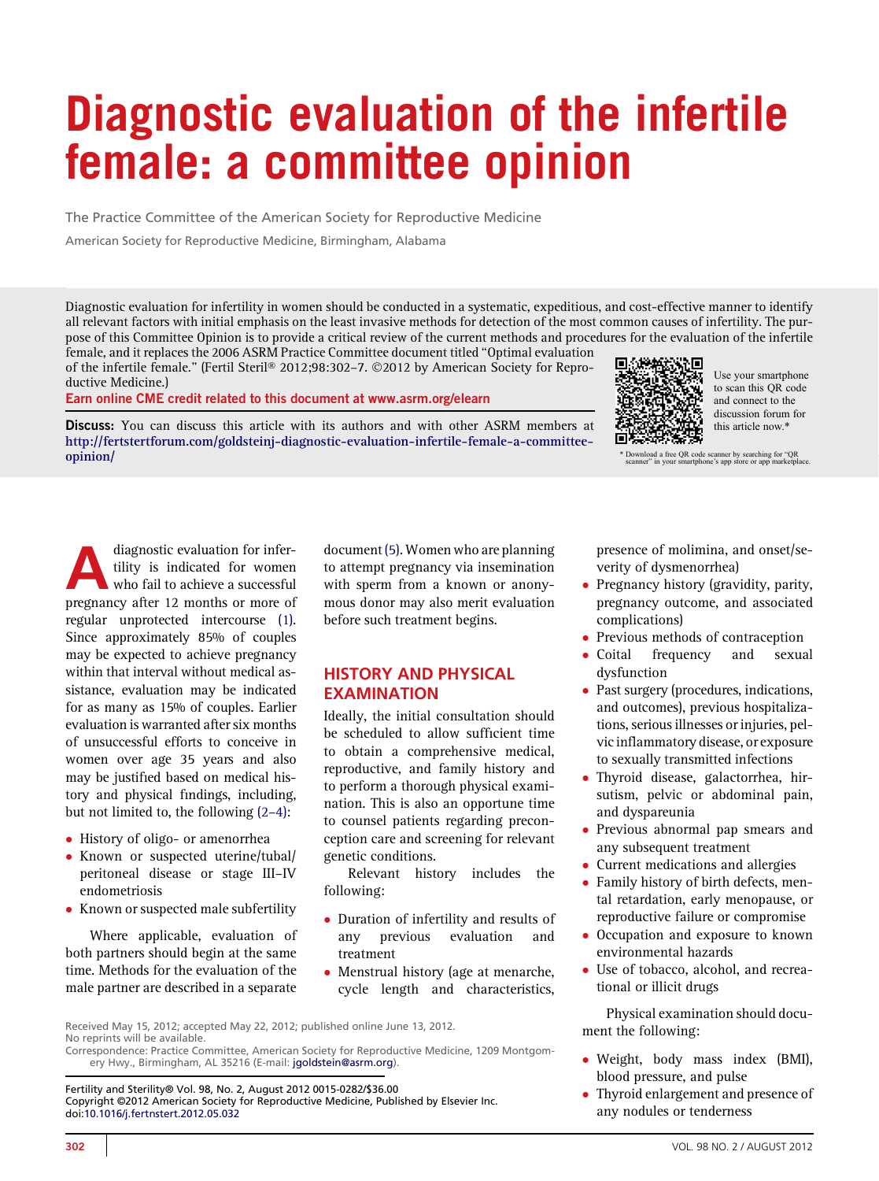# Diagnostic evaluation of the infertile female: a committee opinion

The Practice Committee of the American Society for Reproductive Medicine

American Society for Reproductive Medicine, Birmingham, Alabama

Diagnostic evaluation for infertility in women should be conducted in a systematic, expeditious, and cost-effective manner to identify all relevant factors with initial emphasis on the least invasive methods for detection of the most common causes of infertility. The purpose of this Committee Opinion is to provide a critical review of the current methods and procedures for the evaluation of the infertile

female, and it replaces the 2006 ASRM Practice Committee document titled ''Optimal evaluation of the infertile female." (Fertil Steril® 2012;98:302-7. ©2012 by American Society for Reproductive Medicine.)

Earn online CME credit related to this document at [www.asrm.org/elearn](http://www.asrm.org/elearn)

Discuss: You can discuss this article with its authors and with other ASRM members at [http://fertstertforum.com/goldsteinj-diagnostic-evaluation-infertile-female-a-committee](http://fertstertforum.com/goldsteinj-diagnostic-evaluation-infertile-female-a-committee-opinion/)[opinion/](http://fertstertforum.com/goldsteinj-diagnostic-evaluation-infertile-female-a-committee-opinion/)



Use your smartphone to scan this QR code and connect to the discussion forum for this article now.\*

\* Download a free QR code scanner by searching for "QR scanner" in your smartphone's app store or app marketplace.

diagnostic evaluation for infer-<br>tility is indicated for women<br>who fail to achieve a successful<br>pregnancy ofter 12 months or more of tility is indicated for women pregnancy after 12 months or more of regular unprotected intercourse [\(1\)](#page-4-0). Since approximately 85% of couples may be expected to achieve pregnancy within that interval without medical assistance, evaluation may be indicated for as many as 15% of couples. Earlier evaluation is warranted after six months of unsuccessful efforts to conceive in women over age 35 years and also may be justified based on medical history and physical findings, including, but not limited to, the following (2–[4\):](#page-4-0)

- History of oligo- or amenorrhea
- Known or suspected uterine/tubal/ peritoneal disease or stage III–IV endometriosis
- Known or suspected male subfertility

Where applicable, evaluation of both partners should begin at the same time. Methods for the evaluation of the male partner are described in a separate

document [\(5\)](#page-4-0). Women who are planning to attempt pregnancy via insemination with sperm from a known or anonymous donor may also merit evaluation before such treatment begins.

# HISTORY AND PHYSICAL EXAMINATION

Ideally, the initial consultation should be scheduled to allow sufficient time to obtain a comprehensive medical, reproductive, and family history and to perform a thorough physical examination. This is also an opportune time to counsel patients regarding preconception care and screening for relevant genetic conditions.

Relevant history includes the following:

- Duration of infertility and results of<br>any previous evaluation and any previous treatment
- Menstrual history (age at menarche, cycle length and characteristics,

Received May 15, 2012; accepted May 22, 2012; published online June 13, 2012. No reprints will be available.

Correspondence: Practice Committee, American Society for Reproductive Medicine, 1209 Montgomery Hwy., Birmingham, AL 35216 (E-mail: [jgoldstein@asrm.org\)](mailto:jgoldstein@asrm.org).

Fertility and Sterility® Vol. 98, No. 2, August 2012 0015-0282/\$36.00 Copyright ©2012 American Society for Reproductive Medicine, Published by Elsevier Inc. doi[:10.1016/j.fertnstert.2012.05.032](http://dx.doi.org/10.1016/j.fertnstert.2012.05.032)

presence of molimina, and onset/severity of dysmenorrhea)

- Pregnancy history (gravidity, parity, pregnancy outcome, and associated complications)
- Previous methods of contraception<br>• Coital frequency and sexual
- frequency dysfunction
- Past surgery (procedures, indications, and outcomes), previous hospitalizations, serious illnesses or injuries, pelvic inflammatory disease, or exposure to sexually transmitted infections
- Thyroid disease, galactorrhea, hirsutism, pelvic or abdominal pain, and dyspareunia
- Previous abnormal pap smears and any subsequent treatment
- Current medications and allergies<br>• Family history of birth defects, me
- Family history of birth defects, mental retardation, early menopause, or reproductive failure or compromise
- Occupation and exposure to known environmental hazards
- Use of tobacco, alcohol, and recreational or illicit drugs

Physical examination should document the following:

- Weight, body mass index (BMI), blood pressure, and pulse
- Thyroid enlargement and presence of any nodules or tenderness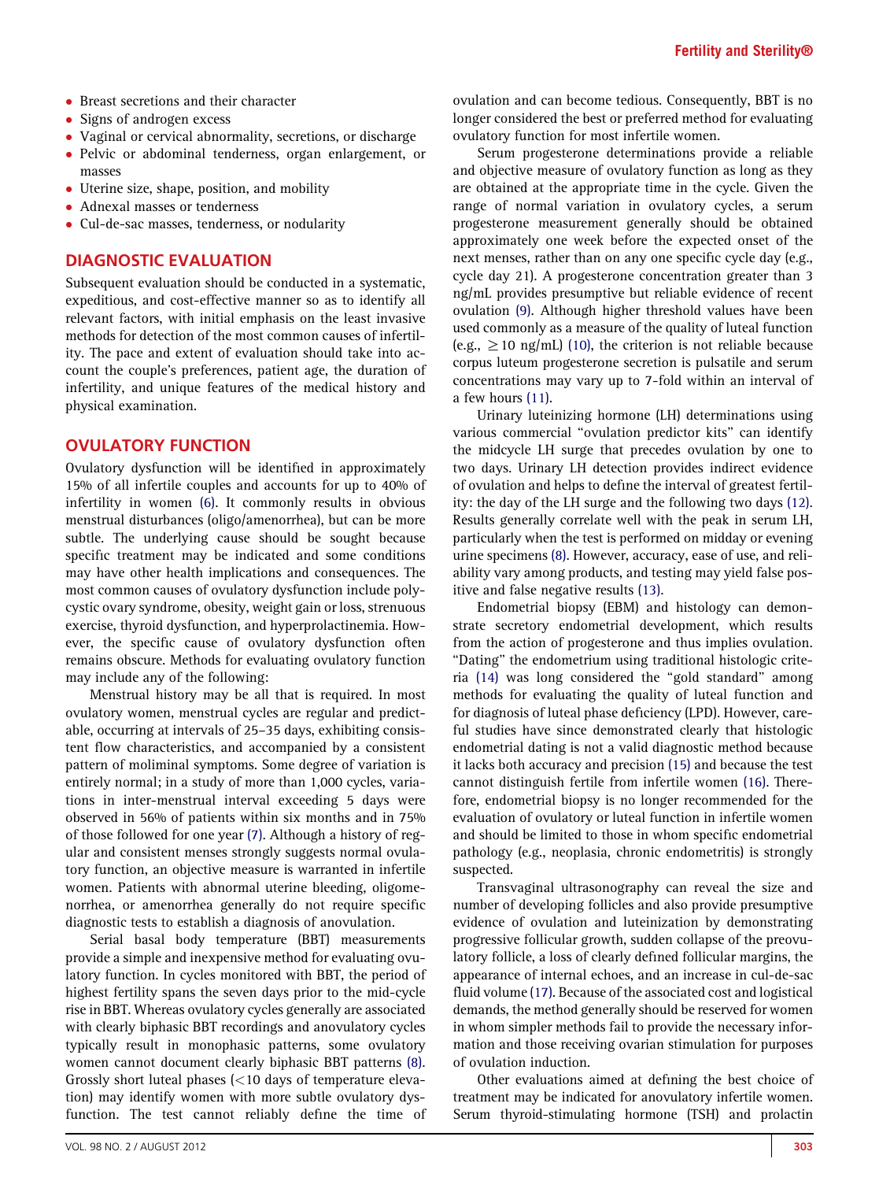- Breast secretions and their character
- Signs of androgen excess
- Vaginal or cervical abnormality, secretions, or discharge
- Pelvic or abdominal tenderness, organ enlargement, or masses
- Uterine size, shape, position, and mobility
- Adnexal masses or tenderness
- Cul-de-sac masses, tenderness, or nodularity

#### DIAGNOSTIC EVALUATION

Subsequent evaluation should be conducted in a systematic, expeditious, and cost-effective manner so as to identify all relevant factors, with initial emphasis on the least invasive methods for detection of the most common causes of infertility. The pace and extent of evaluation should take into account the couple's preferences, patient age, the duration of infertility, and unique features of the medical history and physical examination.

#### OVULATORY FUNCTION

Ovulatory dysfunction will be identified in approximately 15% of all infertile couples and accounts for up to 40% of infertility in women [\(6\).](#page-4-0) It commonly results in obvious menstrual disturbances (oligo/amenorrhea), but can be more subtle. The underlying cause should be sought because specific treatment may be indicated and some conditions may have other health implications and consequences. The most common causes of ovulatory dysfunction include polycystic ovary syndrome, obesity, weight gain or loss, strenuous exercise, thyroid dysfunction, and hyperprolactinemia. However, the specific cause of ovulatory dysfunction often remains obscure. Methods for evaluating ovulatory function may include any of the following:

Menstrual history may be all that is required. In most ovulatory women, menstrual cycles are regular and predictable, occurring at intervals of 25–35 days, exhibiting consistent flow characteristics, and accompanied by a consistent pattern of moliminal symptoms. Some degree of variation is entirely normal; in a study of more than 1,000 cycles, variations in inter-menstrual interval exceeding 5 days were observed in 56% of patients within six months and in 75% of those followed for one year [\(7\)](#page-4-0). Although a history of regular and consistent menses strongly suggests normal ovulatory function, an objective measure is warranted in infertile women. Patients with abnormal uterine bleeding, oligomenorrhea, or amenorrhea generally do not require specific diagnostic tests to establish a diagnosis of anovulation.

Serial basal body temperature (BBT) measurements provide a simple and inexpensive method for evaluating ovulatory function. In cycles monitored with BBT, the period of highest fertility spans the seven days prior to the mid-cycle rise in BBT. Whereas ovulatory cycles generally are associated with clearly biphasic BBT recordings and anovulatory cycles typically result in monophasic patterns, some ovulatory women cannot document clearly biphasic BBT patterns [\(8\).](#page-4-0) Grossly short luteal phases (<10 days of temperature elevation) may identify women with more subtle ovulatory dysfunction. The test cannot reliably define the time of

Serum progesterone determinations provide a reliable and objective measure of ovulatory function as long as they are obtained at the appropriate time in the cycle. Given the range of normal variation in ovulatory cycles, a serum progesterone measurement generally should be obtained approximately one week before the expected onset of the next menses, rather than on any one specific cycle day (e.g., cycle day 21). A progesterone concentration greater than 3 ng/mL provides presumptive but reliable evidence of recent ovulation [\(9\)](#page-4-0). Although higher threshold values have been used commonly as a measure of the quality of luteal function (e.g.,  $\geq$  10 ng/mL) [\(10\)](#page-4-0), the criterion is not reliable because corpus luteum progesterone secretion is pulsatile and serum concentrations may vary up to 7-fold within an interval of a few hours [\(11\)](#page-4-0).

Urinary luteinizing hormone (LH) determinations using various commercial ''ovulation predictor kits'' can identify the midcycle LH surge that precedes ovulation by one to two days. Urinary LH detection provides indirect evidence of ovulation and helps to define the interval of greatest fertility: the day of the LH surge and the following two days [\(12\).](#page-4-0) Results generally correlate well with the peak in serum LH, particularly when the test is performed on midday or evening urine specimens [\(8\)](#page-4-0). However, accuracy, ease of use, and reliability vary among products, and testing may yield false positive and false negative results [\(13\)](#page-4-0).

Endometrial biopsy (EBM) and histology can demonstrate secretory endometrial development, which results from the action of progesterone and thus implies ovulation. ''Dating'' the endometrium using traditional histologic criteria [\(14\)](#page-4-0) was long considered the ''gold standard'' among methods for evaluating the quality of luteal function and for diagnosis of luteal phase deficiency (LPD). However, careful studies have since demonstrated clearly that histologic endometrial dating is not a valid diagnostic method because it lacks both accuracy and precision [\(15\)](#page-4-0) and because the test cannot distinguish fertile from infertile women [\(16\)](#page-4-0). Therefore, endometrial biopsy is no longer recommended for the evaluation of ovulatory or luteal function in infertile women and should be limited to those in whom specific endometrial pathology (e.g., neoplasia, chronic endometritis) is strongly suspected.

Transvaginal ultrasonography can reveal the size and number of developing follicles and also provide presumptive evidence of ovulation and luteinization by demonstrating progressive follicular growth, sudden collapse of the preovulatory follicle, a loss of clearly defined follicular margins, the appearance of internal echoes, and an increase in cul-de-sac fluid volume [\(17\)](#page-4-0). Because of the associated cost and logistical demands, the method generally should be reserved for women in whom simpler methods fail to provide the necessary information and those receiving ovarian stimulation for purposes of ovulation induction.

Other evaluations aimed at defining the best choice of treatment may be indicated for anovulatory infertile women. Serum thyroid-stimulating hormone (TSH) and prolactin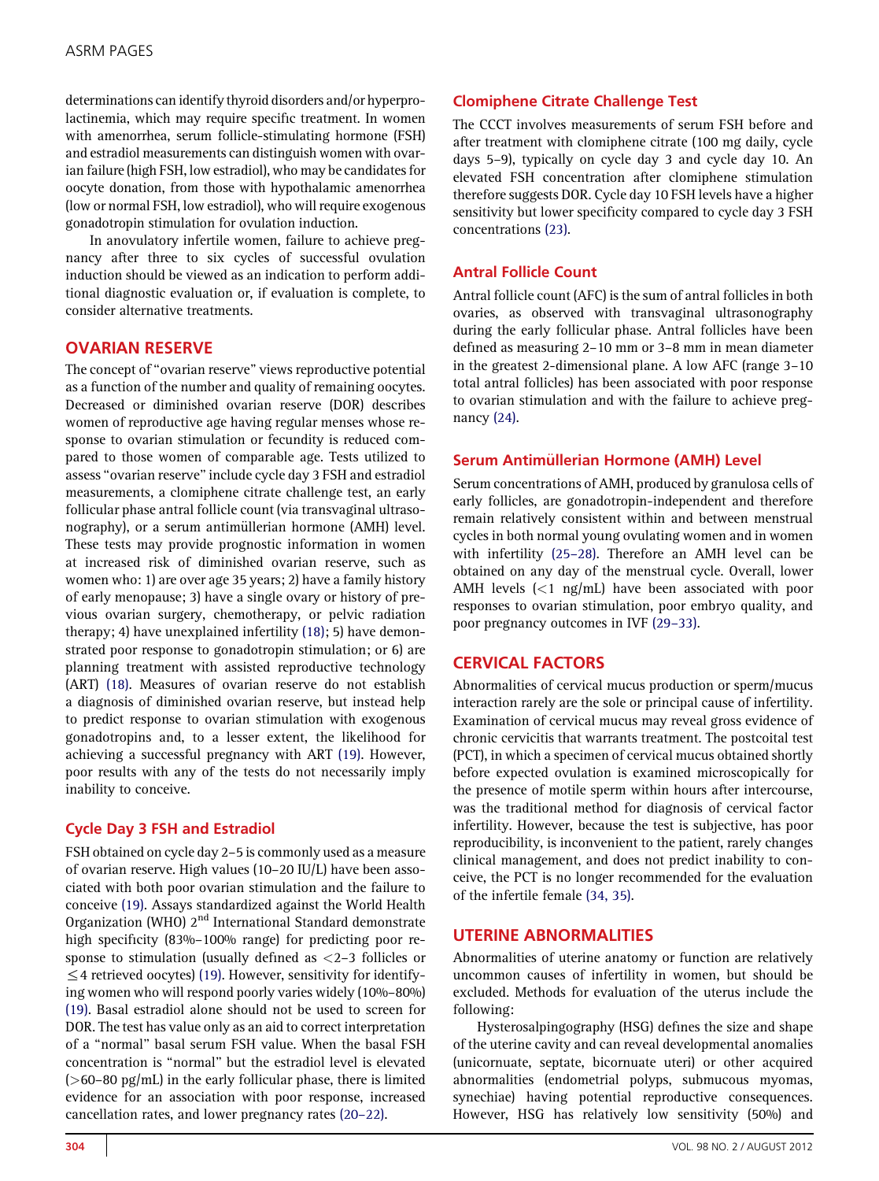determinations can identify thyroid disorders and/or hyperprolactinemia, which may require specific treatment. In women with amenorrhea, serum follicle-stimulating hormone (FSH) and estradiol measurements can distinguish women with ovarian failure (high FSH, low estradiol), who may be candidates for oocyte donation, from those with hypothalamic amenorrhea (low or normal FSH, low estradiol), who will require exogenous gonadotropin stimulation for ovulation induction.

In anovulatory infertile women, failure to achieve pregnancy after three to six cycles of successful ovulation induction should be viewed as an indication to perform additional diagnostic evaluation or, if evaluation is complete, to consider alternative treatments.

## OVARIAN RESERVE

The concept of ''ovarian reserve'' views reproductive potential as a function of the number and quality of remaining oocytes. Decreased or diminished ovarian reserve (DOR) describes women of reproductive age having regular menses whose response to ovarian stimulation or fecundity is reduced compared to those women of comparable age. Tests utilized to assess''ovarian reserve'' include cycle day 3 FSH and estradiol measurements, a clomiphene citrate challenge test, an early follicular phase antral follicle count (via transvaginal ultrasonography), or a serum antimüllerian hormone (AMH) level. These tests may provide prognostic information in women at increased risk of diminished ovarian reserve, such as women who: 1) are over age 35 years; 2) have a family history of early menopause; 3) have a single ovary or history of previous ovarian surgery, chemotherapy, or pelvic radiation therapy; 4) have unexplained infertility [\(18\);](#page-4-0) 5) have demonstrated poor response to gonadotropin stimulation; or 6) are planning treatment with assisted reproductive technology (ART) [\(18\)](#page-4-0). Measures of ovarian reserve do not establish a diagnosis of diminished ovarian reserve, but instead help to predict response to ovarian stimulation with exogenous gonadotropins and, to a lesser extent, the likelihood for achieving a successful pregnancy with ART [\(19\)](#page-4-0). However, poor results with any of the tests do not necessarily imply inability to conceive.

## Cycle Day 3 FSH and Estradiol

FSH obtained on cycle day 2–5 is commonly used as a measure of ovarian reserve. High values (10–20 IU/L) have been associated with both poor ovarian stimulation and the failure to conceive [\(19\)](#page-4-0). Assays standardized against the World Health Organization (WHO)  $2<sup>nd</sup>$  International Standard demonstrate high specificity (83%–100% range) for predicting poor response to stimulation (usually defined as <2–3 follicles or  $\leq$  4 retrieved oocytes) [\(19\)](#page-4-0). However, sensitivity for identifying women who will respond poorly varies widely (10%–80%) [\(19\).](#page-4-0) Basal estradiol alone should not be used to screen for DOR. The test has value only as an aid to correct interpretation of a ''normal'' basal serum FSH value. When the basal FSH concentration is ''normal'' but the estradiol level is elevated (>60–80 pg/mL) in the early follicular phase, there is limited evidence for an association with poor response, increased cancellation rates, and lower pregnancy rates (20–[22\).](#page-4-0)

The CCCT involves measurements of serum FSH before and after treatment with clomiphene citrate (100 mg daily, cycle days 5–9), typically on cycle day 3 and cycle day 10. An elevated FSH concentration after clomiphene stimulation therefore suggests DOR. Cycle day 10 FSH levels have a higher sensitivity but lower specificity compared to cycle day 3 FSH concentrations [\(23\)](#page-4-0).

## Antral Follicle Count

Antral follicle count (AFC) is the sum of antral follicles in both ovaries, as observed with transvaginal ultrasonography during the early follicular phase. Antral follicles have been defined as measuring 2–10 mm or 3–8 mm in mean diameter in the greatest 2-dimensional plane. A low AFC (range 3–10 total antral follicles) has been associated with poor response to ovarian stimulation and with the failure to achieve pregnancy [\(24\)](#page-4-0).

### Serum Antimüllerian Hormone (AMH) Level

Serum concentrations of AMH, produced by granulosa cells of early follicles, are gonadotropin-independent and therefore remain relatively consistent within and between menstrual cycles in both normal young ovulating women and in women with infertility (25–[28\).](#page-4-0) Therefore an AMH level can be obtained on any day of the menstrual cycle. Overall, lower AMH levels (<1 ng/mL) have been associated with poor responses to ovarian stimulation, poor embryo quality, and poor pregnancy outcomes in IVF (29–[33\).](#page-5-0)

# CERVICAL FACTORS

Abnormalities of cervical mucus production or sperm/mucus interaction rarely are the sole or principal cause of infertility. Examination of cervical mucus may reveal gross evidence of chronic cervicitis that warrants treatment. The postcoital test (PCT), in which a specimen of cervical mucus obtained shortly before expected ovulation is examined microscopically for the presence of motile sperm within hours after intercourse, was the traditional method for diagnosis of cervical factor infertility. However, because the test is subjective, has poor reproducibility, is inconvenient to the patient, rarely changes clinical management, and does not predict inability to conceive, the PCT is no longer recommended for the evaluation of the infertile female [\(34, 35\).](#page-5-0)

## UTERINE ABNORMALITIES

Abnormalities of uterine anatomy or function are relatively uncommon causes of infertility in women, but should be excluded. Methods for evaluation of the uterus include the following:

Hysterosalpingography (HSG) defines the size and shape of the uterine cavity and can reveal developmental anomalies (unicornuate, septate, bicornuate uteri) or other acquired abnormalities (endometrial polyps, submucous myomas, synechiae) having potential reproductive consequences. However, HSG has relatively low sensitivity (50%) and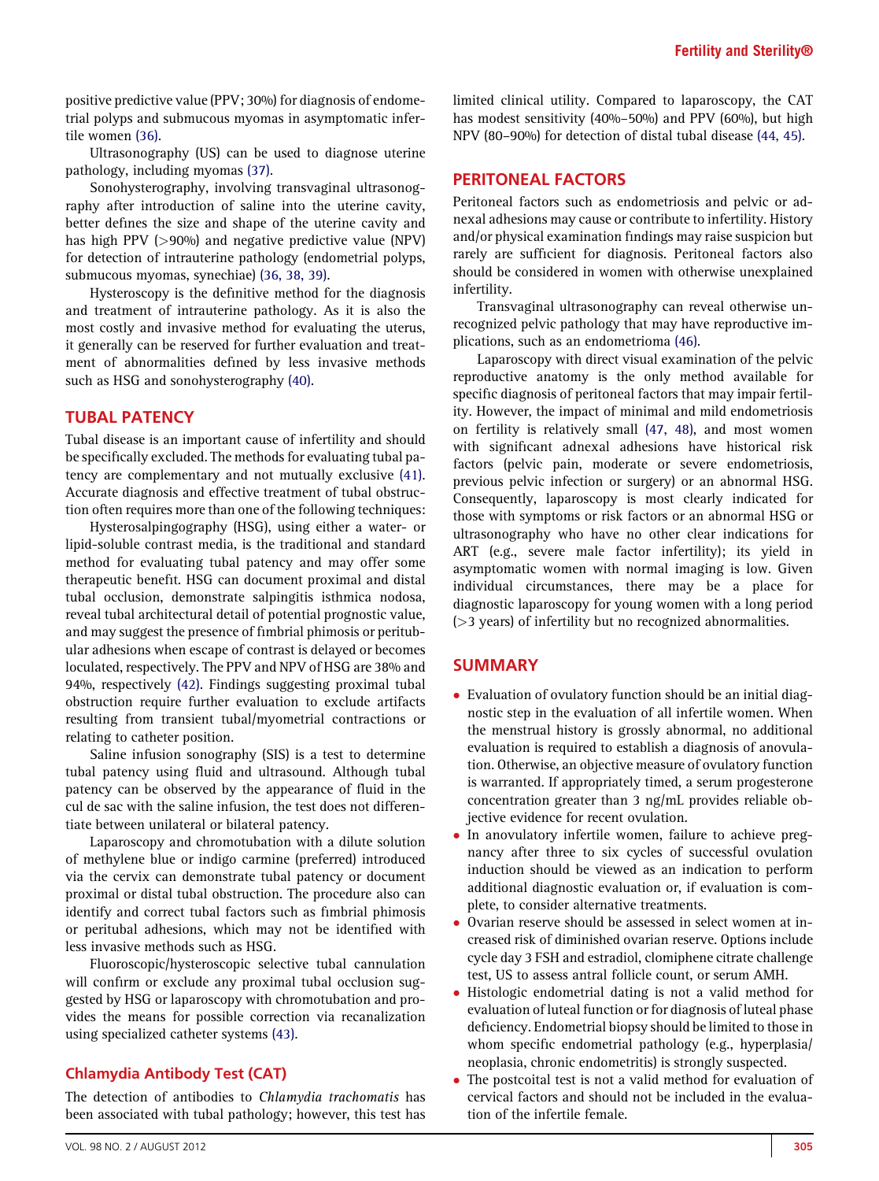positive predictive value (PPV; 30%) for diagnosis of endometrial polyps and submucous myomas in asymptomatic infertile women [\(36\).](#page-5-0)

Ultrasonography (US) can be used to diagnose uterine pathology, including myomas [\(37\).](#page-5-0)

Sonohysterography, involving transvaginal ultrasonography after introduction of saline into the uterine cavity, better defines the size and shape of the uterine cavity and has high PPV (>90%) and negative predictive value (NPV) for detection of intrauterine pathology (endometrial polyps, submucous myomas, synechiae) [\(36, 38, 39\)](#page-5-0).

Hysteroscopy is the definitive method for the diagnosis and treatment of intrauterine pathology. As it is also the most costly and invasive method for evaluating the uterus, it generally can be reserved for further evaluation and treatment of abnormalities defined by less invasive methods such as HSG and sonohysterography [\(40\).](#page-5-0)

#### TUBAL PATENCY

Tubal disease is an important cause of infertility and should be specifically excluded. The methods for evaluating tubal patency are complementary and not mutually exclusive [\(41\).](#page-5-0) Accurate diagnosis and effective treatment of tubal obstruction often requires more than one of the following techniques:

Hysterosalpingography (HSG), using either a water- or lipid-soluble contrast media, is the traditional and standard method for evaluating tubal patency and may offer some therapeutic benefit. HSG can document proximal and distal tubal occlusion, demonstrate salpingitis isthmica nodosa, reveal tubal architectural detail of potential prognostic value, and may suggest the presence of fimbrial phimosis or peritubular adhesions when escape of contrast is delayed or becomes loculated, respectively. The PPV and NPV of HSG are 38% and 94%, respectively [\(42\).](#page-5-0) Findings suggesting proximal tubal obstruction require further evaluation to exclude artifacts resulting from transient tubal/myometrial contractions or relating to catheter position.

Saline infusion sonography (SIS) is a test to determine tubal patency using fluid and ultrasound. Although tubal patency can be observed by the appearance of fluid in the cul de sac with the saline infusion, the test does not differentiate between unilateral or bilateral patency.

Laparoscopy and chromotubation with a dilute solution of methylene blue or indigo carmine (preferred) introduced via the cervix can demonstrate tubal patency or document proximal or distal tubal obstruction. The procedure also can identify and correct tubal factors such as fimbrial phimosis or peritubal adhesions, which may not be identified with less invasive methods such as HSG.

Fluoroscopic/hysteroscopic selective tubal cannulation will confirm or exclude any proximal tubal occlusion suggested by HSG or laparoscopy with chromotubation and provides the means for possible correction via recanalization using specialized catheter systems [\(43\)](#page-5-0).

## Chlamydia Antibody Test (CAT)

The detection of antibodies to Chlamydia trachomatis has been associated with tubal pathology; however, this test has

limited clinical utility. Compared to laparoscopy, the CAT has modest sensitivity (40%–50%) and PPV (60%), but high NPV (80–90%) for detection of distal tubal disease [\(44, 45\).](#page-5-0)

## PERITONEAL FACTORS

Peritoneal factors such as endometriosis and pelvic or adnexal adhesions may cause or contribute to infertility. History and/or physical examination findings may raise suspicion but rarely are sufficient for diagnosis. Peritoneal factors also should be considered in women with otherwise unexplained infertility.

Transvaginal ultrasonography can reveal otherwise unrecognized pelvic pathology that may have reproductive implications, such as an endometrioma [\(46\)](#page-5-0).

Laparoscopy with direct visual examination of the pelvic reproductive anatomy is the only method available for specific diagnosis of peritoneal factors that may impair fertility. However, the impact of minimal and mild endometriosis on fertility is relatively small [\(47, 48\),](#page-5-0) and most women with significant adnexal adhesions have historical risk factors (pelvic pain, moderate or severe endometriosis, previous pelvic infection or surgery) or an abnormal HSG. Consequently, laparoscopy is most clearly indicated for those with symptoms or risk factors or an abnormal HSG or ultrasonography who have no other clear indications for ART (e.g., severe male factor infertility); its yield in asymptomatic women with normal imaging is low. Given individual circumstances, there may be a place for diagnostic laparoscopy for young women with a long period (>3 years) of infertility but no recognized abnormalities.

## SUMMARY

- Evaluation of ovulatory function should be an initial diagnostic step in the evaluation of all infertile women. When the menstrual history is grossly abnormal, no additional evaluation is required to establish a diagnosis of anovulation. Otherwise, an objective measure of ovulatory function is warranted. If appropriately timed, a serum progesterone concentration greater than 3 ng/mL provides reliable objective evidence for recent ovulation.
- In anovulatory infertile women, failure to achieve pregnancy after three to six cycles of successful ovulation induction should be viewed as an indication to perform additional diagnostic evaluation or, if evaluation is complete, to consider alternative treatments.
- Ovarian reserve should be assessed in select women at increased risk of diminished ovarian reserve. Options include cycle day 3 FSH and estradiol, clomiphene citrate challenge test, US to assess antral follicle count, or serum AMH.
- Histologic endometrial dating is not a valid method for evaluation of luteal function or for diagnosis of luteal phase deficiency. Endometrial biopsy should be limited to those in whom specific endometrial pathology (e.g., hyperplasia/ neoplasia, chronic endometritis) is strongly suspected.
- The postcoital test is not a valid method for evaluation of cervical factors and should not be included in the evaluation of the infertile female.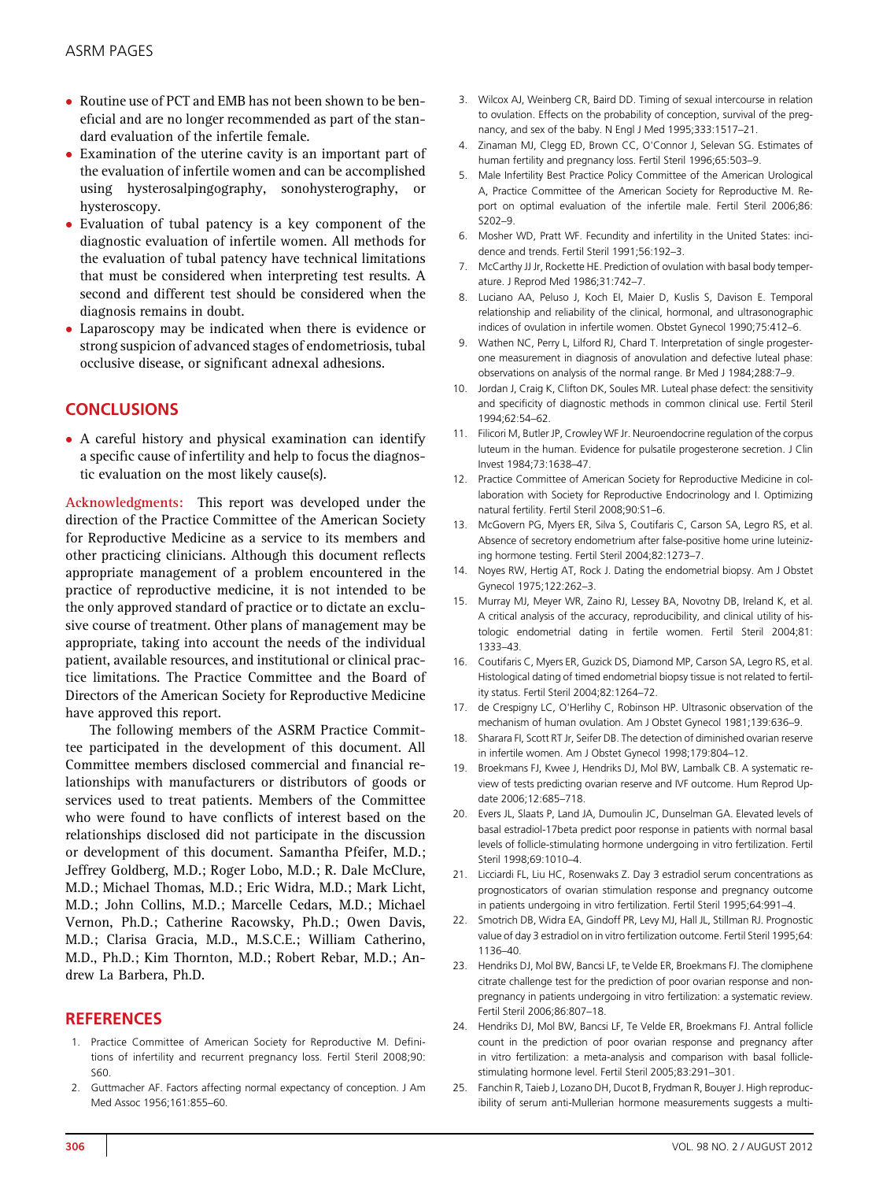- <span id="page-4-0"></span>• Routine use of PCT and EMB has not been shown to be beneficial and are no longer recommended as part of the standard evaluation of the infertile female.
- Examination of the uterine cavity is an important part of the evaluation of infertile women and can be accomplished using hysterosalpingography, sonohysterography, or hysteroscopy.
- Evaluation of tubal patency is a key component of the diagnostic evaluation of infertile women. All methods for the evaluation of tubal patency have technical limitations that must be considered when interpreting test results. A second and different test should be considered when the diagnosis remains in doubt.
- Laparoscopy may be indicated when there is evidence or strong suspicion of advanced stages of endometriosis, tubal occlusive disease, or significant adnexal adhesions.

# **CONCLUSIONS**

 A careful history and physical examination can identify a specific cause of infertility and help to focus the diagnostic evaluation on the most likely cause(s).

Acknowledgments: This report was developed under the direction of the Practice Committee of the American Society for Reproductive Medicine as a service to its members and other practicing clinicians. Although this document reflects appropriate management of a problem encountered in the practice of reproductive medicine, it is not intended to be the only approved standard of practice or to dictate an exclusive course of treatment. Other plans of management may be appropriate, taking into account the needs of the individual patient, available resources, and institutional or clinical practice limitations. The Practice Committee and the Board of Directors of the American Society for Reproductive Medicine have approved this report.

The following members of the ASRM Practice Committee participated in the development of this document. All Committee members disclosed commercial and financial relationships with manufacturers or distributors of goods or services used to treat patients. Members of the Committee who were found to have conflicts of interest based on the relationships disclosed did not participate in the discussion or development of this document. Samantha Pfeifer, M.D.; Jeffrey Goldberg, M.D.; Roger Lobo, M.D.; R. Dale McClure, M.D.; Michael Thomas, M.D.; Eric Widra, M.D.; Mark Licht, M.D.; John Collins, M.D.; Marcelle Cedars, M.D.; Michael Vernon, Ph.D.; Catherine Racowsky, Ph.D.; Owen Davis, M.D.; Clarisa Gracia, M.D., M.S.C.E.; William Catherino, M.D., Ph.D.; Kim Thornton, M.D.; Robert Rebar, M.D.; Andrew La Barbera, Ph.D.

## **REFERENCES**

- 1. Practice Committee of American Society for Reproductive M. Definitions of infertility and recurrent pregnancy loss. Fertil Steril 2008;90: S60.
- 2. Guttmacher AF. Factors affecting normal expectancy of conception. J Am Med Assoc 1956;161:855–60.
- 3. Wilcox AJ, Weinberg CR, Baird DD. Timing of sexual intercourse in relation to ovulation. Effects on the probability of conception, survival of the pregnancy, and sex of the baby. N Engl J Med 1995;333:1517–21.
- 4. Zinaman MJ, Clegg ED, Brown CC, O'Connor J, Selevan SG. Estimates of human fertility and pregnancy loss. Fertil Steril 1996;65:503–9.
- 5. Male Infertility Best Practice Policy Committee of the American Urological A, Practice Committee of the American Society for Reproductive M. Report on optimal evaluation of the infertile male. Fertil Steril 2006;86: S202–9.
- 6. Mosher WD, Pratt WF. Fecundity and infertility in the United States: incidence and trends. Fertil Steril 1991;56:192–3.
- 7. McCarthy JJ Jr, Rockette HE. Prediction of ovulation with basal body temperature. J Reprod Med 1986;31:742–7.
- 8. Luciano AA, Peluso J, Koch EI, Maier D, Kuslis S, Davison E. Temporal relationship and reliability of the clinical, hormonal, and ultrasonographic indices of ovulation in infertile women. Obstet Gynecol 1990;75:412–6.
- 9. Wathen NC, Perry L, Lilford RJ, Chard T. Interpretation of single progesterone measurement in diagnosis of anovulation and defective luteal phase: observations on analysis of the normal range. Br Med J 1984;288:7–9.
- 10. Jordan J, Craig K, Clifton DK, Soules MR. Luteal phase defect: the sensitivity and specificity of diagnostic methods in common clinical use. Fertil Steril 1994;62:54–62.
- 11. Filicori M, Butler JP, Crowley WF Jr. Neuroendocrine regulation of the corpus luteum in the human. Evidence for pulsatile progesterone secretion. J Clin Invest 1984;73:1638–47.
- 12. Practice Committee of American Society for Reproductive Medicine in collaboration with Society for Reproductive Endocrinology and I. Optimizing natural fertility. Fertil Steril 2008;90:S1–6.
- 13. McGovern PG, Myers ER, Silva S, Coutifaris C, Carson SA, Legro RS, et al. Absence of secretory endometrium after false-positive home urine luteinizing hormone testing. Fertil Steril 2004;82:1273–7.
- 14. Noyes RW, Hertig AT, Rock J. Dating the endometrial biopsy. Am J Obstet Gynecol 1975;122:262–3.
- 15. Murray MJ, Meyer WR, Zaino RJ, Lessey BA, Novotny DB, Ireland K, et al. A critical analysis of the accuracy, reproducibility, and clinical utility of histologic endometrial dating in fertile women. Fertil Steril 2004;81: 1333–43.
- 16. Coutifaris C, Myers ER, Guzick DS, Diamond MP, Carson SA, Legro RS, et al. Histological dating of timed endometrial biopsy tissue is not related to fertility status. Fertil Steril 2004;82:1264–72.
- 17. de Crespigny LC, O'Herlihy C, Robinson HP. Ultrasonic observation of the mechanism of human ovulation. Am J Obstet Gynecol 1981;139:636–9.
- 18. Sharara FI, Scott RT Jr, Seifer DB. The detection of diminished ovarian reserve in infertile women. Am J Obstet Gynecol 1998;179:804–12.
- 19. Broekmans FJ, Kwee J, Hendriks DJ, Mol BW, Lambalk CB. A systematic review of tests predicting ovarian reserve and IVF outcome. Hum Reprod Update 2006;12:685–718.
- 20. Evers JL, Slaats P, Land JA, Dumoulin JC, Dunselman GA. Elevated levels of basal estradiol-17beta predict poor response in patients with normal basal levels of follicle-stimulating hormone undergoing in vitro fertilization. Fertil Steril 1998;69:1010–4.
- 21. Licciardi FL, Liu HC, Rosenwaks Z. Day 3 estradiol serum concentrations as prognosticators of ovarian stimulation response and pregnancy outcome in patients undergoing in vitro fertilization. Fertil Steril 1995;64:991–4.
- 22. Smotrich DB, Widra EA, Gindoff PR, Levy MJ, Hall JL, Stillman RJ. Prognostic value of day 3 estradiol on in vitro fertilization outcome. Fertil Steril 1995;64: 1136–40.
- 23. Hendriks DJ, Mol BW, Bancsi LF, te Velde ER, Broekmans FJ. The clomiphene citrate challenge test for the prediction of poor ovarian response and nonpregnancy in patients undergoing in vitro fertilization: a systematic review. Fertil Steril 2006;86:807–18.
- 24. Hendriks DJ, Mol BW, Bancsi LF, Te Velde ER, Broekmans FJ. Antral follicle count in the prediction of poor ovarian response and pregnancy after in vitro fertilization: a meta-analysis and comparison with basal folliclestimulating hormone level. Fertil Steril 2005;83:291–301.
- 25. Fanchin R, Taieb J, Lozano DH, Ducot B, Frydman R, Bouyer J. High reproducibility of serum anti-Mullerian hormone measurements suggests a multi-